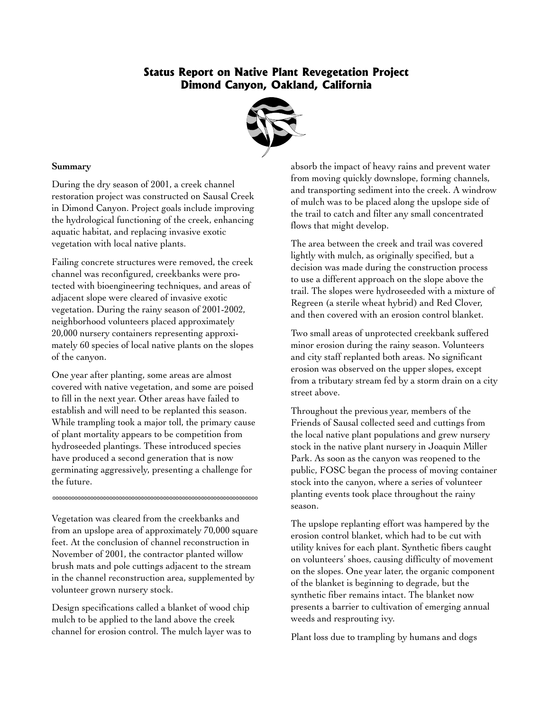## **Status Report on Native Plant Revegetation Project Dimond Canyon, Oakland, California**



## **Summary**

During the dry season of 2001, a creek channel restoration project was constructed on Sausal Creek in Dimond Canyon. Project goals include improving the hydrological functioning of the creek, enhancing aquatic habitat, and replacing invasive exotic vegetation with local native plants.

Failing concrete structures were removed, the creek channel was reconfigured, creekbanks were protected with bioengineering techniques, and areas of adjacent slope were cleared of invasive exotic vegetation. During the rainy season of 2001-2002, neighborhood volunteers placed approximately 20,000 nursery containers representing approximately 60 species of local native plants on the slopes of the canyon.

One year after planting, some areas are almost covered with native vegetation, and some are poised to fill in the next year. Other areas have failed to establish and will need to be replanted this season. While trampling took a major toll, the primary cause of plant mortality appears to be competition from hydroseeded plantings. These introduced species have produced a second generation that is now germinating aggressively, presenting a challenge for the future.

Vegetation was cleared from the creekbanks and from an upslope area of approximately 70,000 square feet. At the conclusion of channel reconstruction in November of 2001, the contractor planted willow brush mats and pole cuttings adjacent to the stream in the channel reconstruction area, supplemented by volunteer grown nursery stock.

\*\*\*\*\*\*\*\*\*\*\*\*\*\*\*\*\*\*\*\*\*\*\*\*\*\*\*\*\*\*\*\*\*\*\*\*\*\*\*\*\*\*\*\*\*\*\*\*\*\*\*\*\*\*\*\*\*\*\*\*\*\*\*\*\*

Design specifications called a blanket of wood chip mulch to be applied to the land above the creek channel for erosion control. The mulch layer was to absorb the impact of heavy rains and prevent water from moving quickly downslope, forming channels, and transporting sediment into the creek. A windrow of mulch was to be placed along the upslope side of the trail to catch and filter any small concentrated flows that might develop.

The area between the creek and trail was covered lightly with mulch, as originally specified, but a decision was made during the construction process to use a different approach on the slope above the trail. The slopes were hydroseeded with a mixture of Regreen (a sterile wheat hybrid) and Red Clover, and then covered with an erosion control blanket.

Two small areas of unprotected creekbank suffered minor erosion during the rainy season. Volunteers and city staff replanted both areas. No significant erosion was observed on the upper slopes, except from a tributary stream fed by a storm drain on a city street above.

Throughout the previous year, members of the Friends of Sausal collected seed and cuttings from the local native plant populations and grew nursery stock in the native plant nursery in Joaquin Miller Park. As soon as the canyon was reopened to the public, FOSC began the process of moving container stock into the canyon, where a series of volunteer planting events took place throughout the rainy season.

The upslope replanting effort was hampered by the erosion control blanket, which had to be cut with utility knives for each plant. Synthetic fibers caught on volunteers' shoes, causing difficulty of movement on the slopes. One year later, the organic component of the blanket is beginning to degrade, but the synthetic fiber remains intact. The blanket now presents a barrier to cultivation of emerging annual weeds and resprouting ivy.

Plant loss due to trampling by humans and dogs